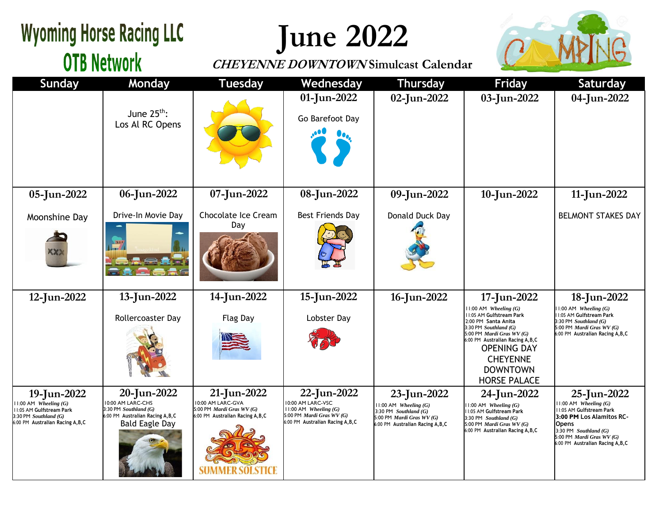## **Wyoming Horse Racing LLC June 2022 OTB Network CHEYENNE DOWNTOWN Simulcast Calendar Sunday Monday Tuesday Wednesday Thursday Friday Saturday 01-Jun-2022 02-Jun-2022 03-Jun-2022 04-Jun-2022** June 25<sup>th</sup>: Go Barefoot Day Los Al RC Opens **06-Jun-2022 07-Jun-2022 08-Jun-2022 05-Jun-2022 09-Jun-2022 10-Jun-2022 11-Jun-2022** Drive-In Movie Day Chocolate Ice Cream Best Friends Day Donald Duck Day BELMONT STAKES DAY Moonshine Day Day **12-Jun-2022 13-Jun-2022 14-Jun-2022 15-Jun-2022 16-Jun-2022 17-Jun-2022 18-Jun-2022** 11:00 AM *Wheeling (G)* 11:00 AM *Wheeling (G)* 11:05 AM **Gulfstream Park** 11:05 AM **Gulfstream Park** Rollercoaster Day Flag Day Lobster Day 2:00 PM **Santa Anita** 3:30 PM *Southland (G)* 3:30 PM *Southland (G)* 5:00 PM *Mardi Gras WV (G)* 5:00 PM *Mardi Gras WV (G)* 6:00 PM **Australian Racing A,B,C** 6:00 PM **Australian Racing A,B,C** OPENING DAY CHEYENNE DOWNTOWN HORSE PALACE **19-Jun-2022 20-Jun-2022 21-Jun-2022 22-Jun-2022 23-Jun-2022 25-Jun-2022 24-Jun-2022** 10:00 AM LARC-CHS 10:00 AM LARC-GVA 10:00 AM LARC-VSC 11:00 AM *Wheeling (G)* 11:00 AM *Wheeling (G)* 11:00 AM *Wheeling (G)* 11:00 AM *Wheeling (G)* 11:05 AM **Gulfstream Park** 3:30 PM *Southland (G)* 5:00 PM *Mardi Gras WV (G)* 11:00 AM *Wheeling (G)* 11:05 AM **Gulfstream Park** 3:30 PM *Southland (G)* 11:05 AM **Gulfstream Park** 6:00 PM **Australian Racing A,B,C** 6:00 PM **Australian Racing A,B,C** 5:00 PM *Mardi Gras WV (G)* 3:30 PM *Southland (G)* **3:00 PM Los Alamitos RC-**5:00 PM *Mardi Gras WV (G)* 3:30 PM *Southland (G)* 6:00 PM **Australian Racing A,B,C** 6:00 PM **Australian Racing A,B,C** Bald Eagle Day 6:00 PM **Australian Racing A,B,C** 5:00 PM *Mardi Gras WV (G)* **Opens** 6:00 PM **Australian Racing A,B,C** 3:30 PM *Southland (G)* 5:00 PM *Mardi Gras WV (G)* 6:00 PM **Australian Racing A,B,C**